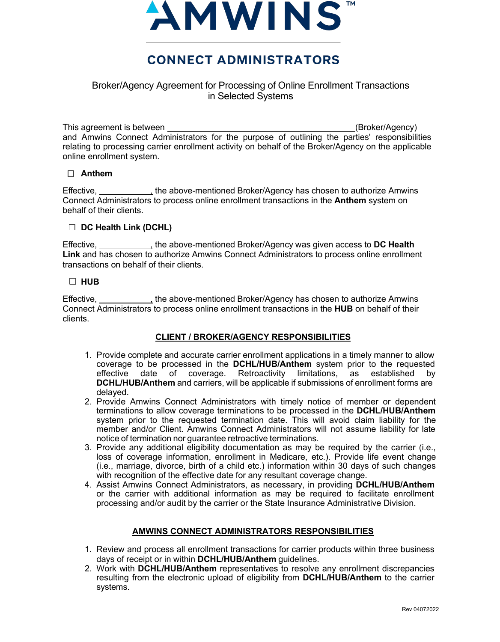

# **CONNECT ADMINISTRATORS**

## Broker/Agency Agreement for Processing of Online Enrollment Transactions in Selected Systems

This agreement is between (Broker/Agency) and Amwins Connect Administrators for the purpose of outlining the parties' responsibilities relating to processing carrier enrollment activity on behalf of the Broker/Agency on the applicable online enrollment system.

## **Anthem**

Effective, \_\_\_\_\_\_\_\_\_\_\_, the above-mentioned Broker/Agency has chosen to authorize Amwins Connect Administrators to process online enrollment transactions in the **Anthem** system on behalf of their clients.

#### **DC Health Link (DCHL)**

Effective, , the above-mentioned Broker/Agency was given access to **DC Health Link** and has chosen to authorize Amwins Connect Administrators to process online enrollment transactions on behalf of their clients.

## $\Box$ **HUB**

Effective, **Effective**, the above-mentioned Broker/Agency has chosen to authorize Amwins Connect Administrators to process online enrollment transactions in the **HUB** on behalf of their clients.

## **CLIENT / BROKER/AGENCY RESPONSIBILITIES**

- 1. Provide complete and accurate carrier enrollment applications in a timely manner to allow coverage to be processed in the **DCHL/HUB/Anthem** system prior to the requested effective date of coverage. Retroactivity limitations, as established **DCHL/HUB/Anthem** and carriers, will be applicable if submissions of enrollment forms are delayed.
- 2. Provide Amwins Connect Administrators with timely notice of member or dependent terminations to allow coverage terminations to be processed in the **DCHL/HUB/Anthem** system prior to the requested termination date. This will avoid claim liability for the member and/or Client. Amwins Connect Administrators will not assume liability for late notice of termination nor guarantee retroactive terminations.
- 3. Provide any additional eligibility documentation as may be required by the carrier (i.e., loss of coverage information, enrollment in Medicare, etc.). Provide life event change (i.e., marriage, divorce, birth of a child etc.) information within 30 days of such changes with recognition of the effective date for any resultant coverage change.
- 4. Assist Amwins Connect Administrators, as necessary, in providing **DCHL/HUB/Anthem** or the carrier with additional information as may be required to facilitate enrollment processing and/or audit by the carrier or the State Insurance Administrative Division.

## **AMWINS CONNECT ADMINISTRATORS RESPONSIBILITIES**

- 1. Review and process all enrollment transactions for carrier products within three business days of receipt or in within **DCHL/HUB/Anthem** guidelines.
- 2. Work with **DCHL/HUB/Anthem** representatives to resolve any enrollment discrepancies resulting from the electronic upload of eligibility from **DCHL/HUB/Anthem** to the carrier systems.